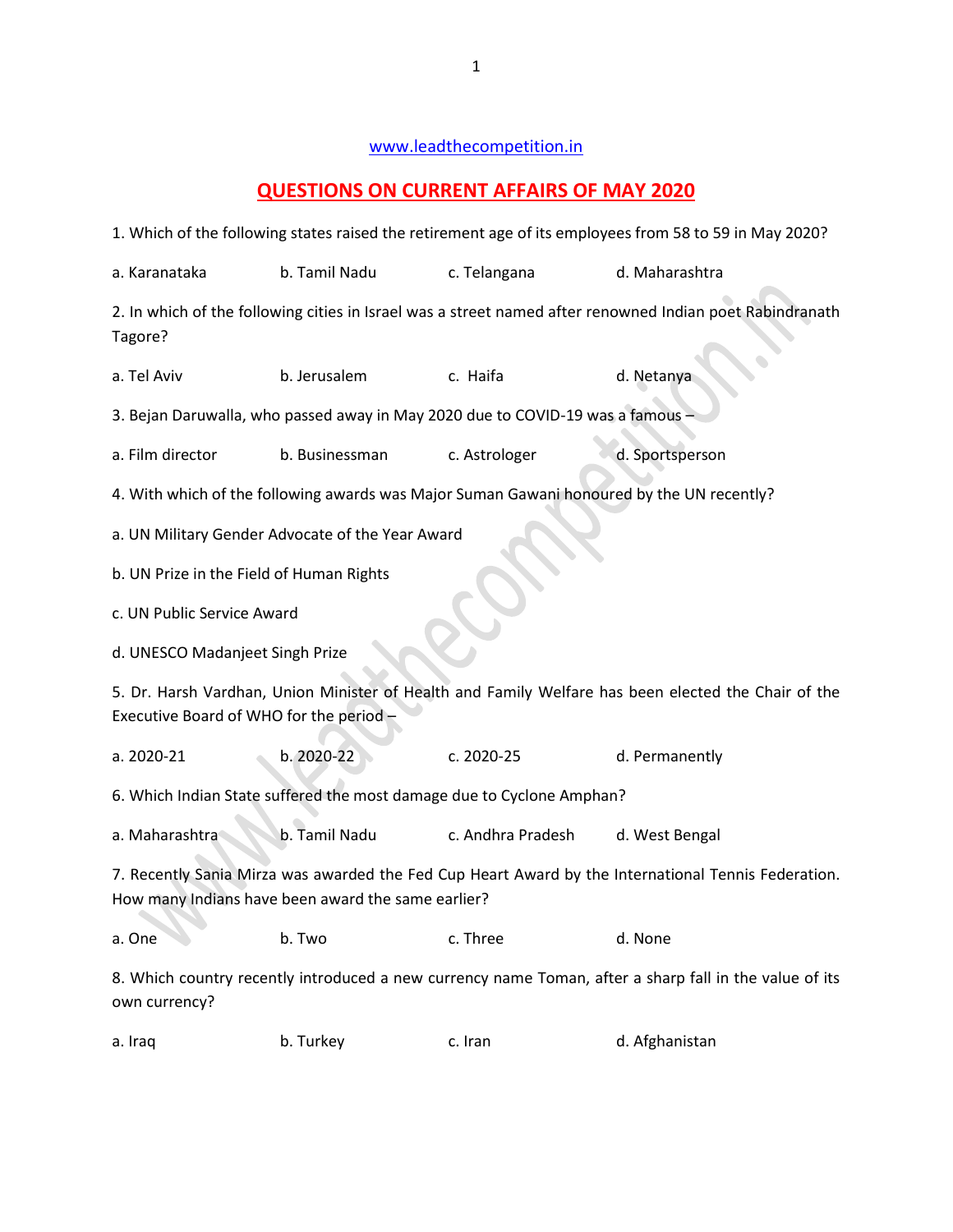## [www.leadthecompetition.in](http://www.leadthecompetition.in/)

## **QUESTIONS ON CURRENT AFFAIRS OF MAY 2020**

| 1. Which of the following states raised the retirement age of its employees from 58 to 59 in May 2020?                                                    |                                                  |                                                                                           |                 |  |  |  |
|-----------------------------------------------------------------------------------------------------------------------------------------------------------|--------------------------------------------------|-------------------------------------------------------------------------------------------|-----------------|--|--|--|
| a. Karanataka                                                                                                                                             | b. Tamil Nadu                                    | c. Telangana                                                                              | d. Maharashtra  |  |  |  |
| 2. In which of the following cities in Israel was a street named after renowned Indian poet Rabindranath<br>Tagore?                                       |                                                  |                                                                                           |                 |  |  |  |
| a. Tel Aviv                                                                                                                                               | b. Jerusalem                                     | c. Haifa                                                                                  | d. Netanya      |  |  |  |
| 3. Bejan Daruwalla, who passed away in May 2020 due to COVID-19 was a famous                                                                              |                                                  |                                                                                           |                 |  |  |  |
| a. Film director                                                                                                                                          | b. Businessman                                   | c. Astrologer                                                                             | d. Sportsperson |  |  |  |
|                                                                                                                                                           |                                                  | 4. With which of the following awards was Major Suman Gawani honoured by the UN recently? |                 |  |  |  |
|                                                                                                                                                           | a. UN Military Gender Advocate of the Year Award |                                                                                           |                 |  |  |  |
| b. UN Prize in the Field of Human Rights                                                                                                                  |                                                  |                                                                                           |                 |  |  |  |
| c. UN Public Service Award                                                                                                                                |                                                  |                                                                                           |                 |  |  |  |
|                                                                                                                                                           | d. UNESCO Madanjeet Singh Prize                  |                                                                                           |                 |  |  |  |
| 5. Dr. Harsh Vardhan, Union Minister of Health and Family Welfare has been elected the Chair of the<br>Executive Board of WHO for the period-             |                                                  |                                                                                           |                 |  |  |  |
| a. 2020-21                                                                                                                                                | b. 2020-22                                       | c. 2020-25                                                                                | d. Permanently  |  |  |  |
| 6. Which Indian State suffered the most damage due to Cyclone Amphan?                                                                                     |                                                  |                                                                                           |                 |  |  |  |
| a. Maharashtra                                                                                                                                            | b. Tamil Nadu                                    | c. Andhra Pradesh                                                                         | d. West Bengal  |  |  |  |
| 7. Recently Sania Mirza was awarded the Fed Cup Heart Award by the International Tennis Federation.<br>How many Indians have been award the same earlier? |                                                  |                                                                                           |                 |  |  |  |
| a. One                                                                                                                                                    | b. Two                                           | c. Three                                                                                  | d. None         |  |  |  |
| 8. Which country recently introduced a new currency name Toman, after a sharp fall in the value of its<br>own currency?                                   |                                                  |                                                                                           |                 |  |  |  |

| a. Iraq | b. Turkey | c. Iran | d. Afghanistan |
|---------|-----------|---------|----------------|
|---------|-----------|---------|----------------|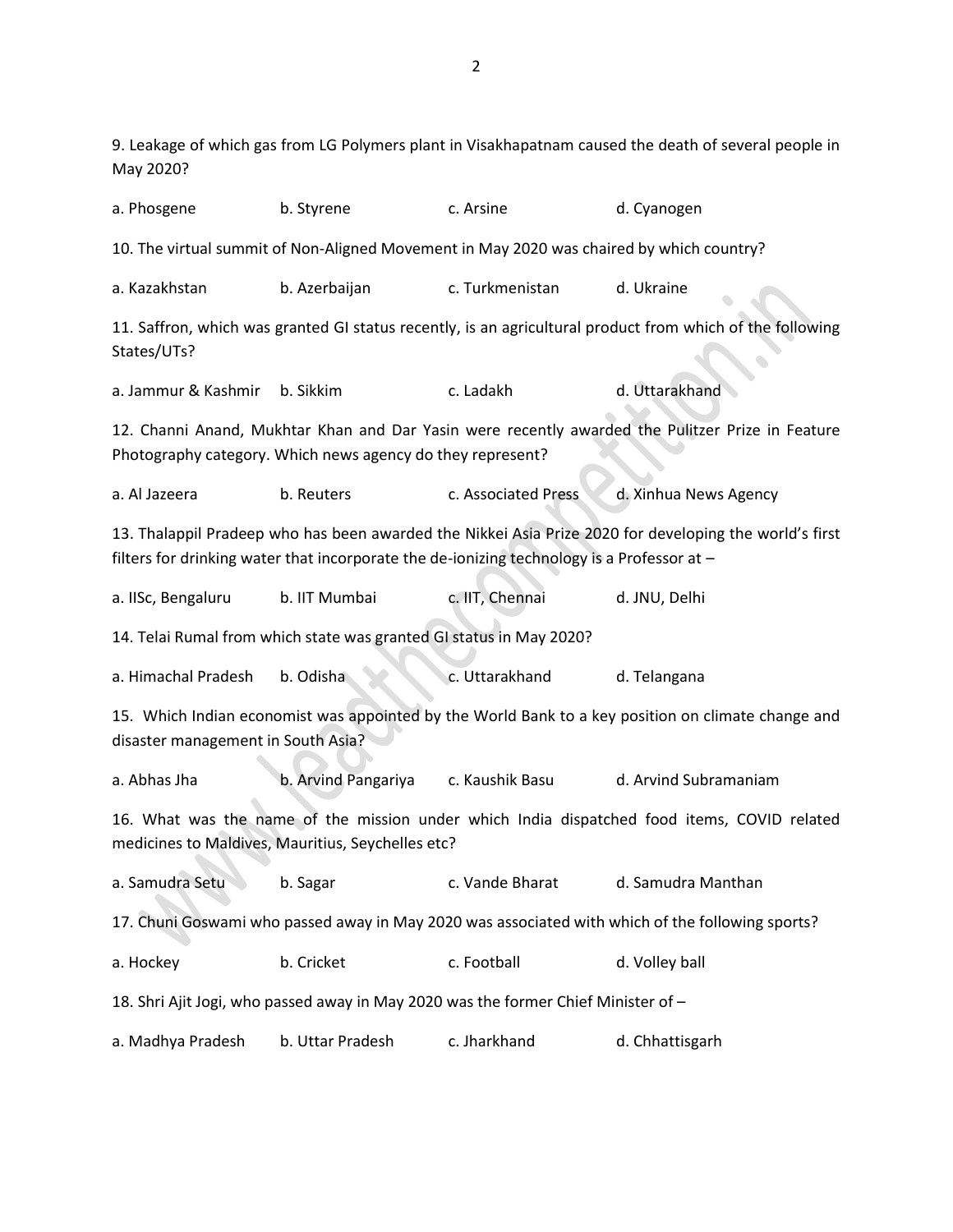9. Leakage of which gas from LG Polymers plant in Visakhapatnam caused the death of several people in May 2020?

a. Phosgene b. Styrene c. Arsine d. Cyanogen 10. The virtual summit of Non-Aligned Movement in May 2020 was chaired by which country? a. Kazakhstan b. Azerbaijan c. Turkmenistan d. Ukraine 11. Saffron, which was granted GI status recently, is an agricultural product from which of the following States/UTs? a. Jammur & Kashmir b. Sikkim c. Ladakh d. Uttarakhand 12. Channi Anand, Mukhtar Khan and Dar Yasin were recently awarded the Pulitzer Prize in Feature Photography category. Which news agency do they represent? a. Al Jazeera b. Reuters c. Associated Press d. Xinhua News Agency 13. Thalappil Pradeep who has been awarded the Nikkei Asia Prize 2020 for developing the world's first filters for drinking water that incorporate the de-ionizing technology is a Professor at – a. IISc, Bengaluru b. IIT Mumbai c. IIT, Chennai d. JNU, Delhi 14. Telai Rumal from which state was granted GI status in May 2020? a. Himachal Pradesh b. Odisha c. Uttarakhand d. Telangana 15. Which Indian economist was appointed by the World Bank to a key position on climate change and disaster management in South Asia? a. Abhas Jha b. Arvind Pangariya c. Kaushik Basu d. Arvind Subramaniam 16. What was the name of the mission under which India dispatched food items, COVID related medicines to Maldives, Mauritius, Seychelles etc? a. Samudra Setu b. Sagar c. Vande Bharat d. Samudra Manthan 17. Chuni Goswami who passed away in May 2020 was associated with which of the following sports? a. Hockey b. Cricket c. Football d. Volley ball 18. Shri Ajit Jogi, who passed away in May 2020 was the former Chief Minister of – a. Madhya Pradesh b. Uttar Pradesh c. Jharkhand d. Chhattisgarh